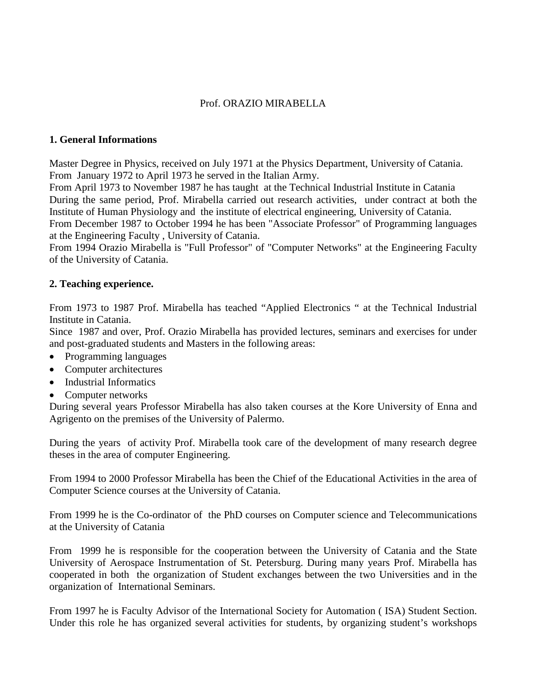# Prof. ORAZIO MIRABELLA

### **1. General Informations**

Master Degree in Physics, received on July 1971 at the Physics Department, University of Catania. From January 1972 to April 1973 he served in the Italian Army.

From April 1973 to November 1987 he has taught at the Technical Industrial Institute in Catania During the same period, Prof. Mirabella carried out research activities, under contract at both the Institute of Human Physiology and the institute of electrical engineering, University of Catania. From December 1987 to October 1994 he has been "Associate Professor" of Programming languages at the Engineering Faculty , University of Catania.

From 1994 Orazio Mirabella is "Full Professor" of "Computer Networks" at the Engineering Faculty of the University of Catania.

### **2. Teaching experience.**

From 1973 to 1987 Prof. Mirabella has teached "Applied Electronics " at the Technical Industrial Institute in Catania.

Since 1987 and over, Prof. Orazio Mirabella has provided lectures, seminars and exercises for under and post-graduated students and Masters in the following areas:

- Programming languages
- Computer architectures
- Industrial Informatics
- Computer networks

During several years Professor Mirabella has also taken courses at the Kore University of Enna and Agrigento on the premises of the University of Palermo.

During the years of activity Prof. Mirabella took care of the development of many research degree theses in the area of computer Engineering.

From 1994 to 2000 Professor Mirabella has been the Chief of the Educational Activities in the area of Computer Science courses at the University of Catania.

From 1999 he is the Co-ordinator of the PhD courses on Computer science and Telecommunications at the University of Catania

From 1999 he is responsible for the cooperation between the University of Catania and the State University of Aerospace Instrumentation of St. Petersburg. During many years Prof. Mirabella has cooperated in both the organization of Student exchanges between the two Universities and in the organization of International Seminars.

From 1997 he is Faculty Advisor of the International Society for Automation ( ISA) Student Section. Under this role he has organized several activities for students, by organizing student's workshops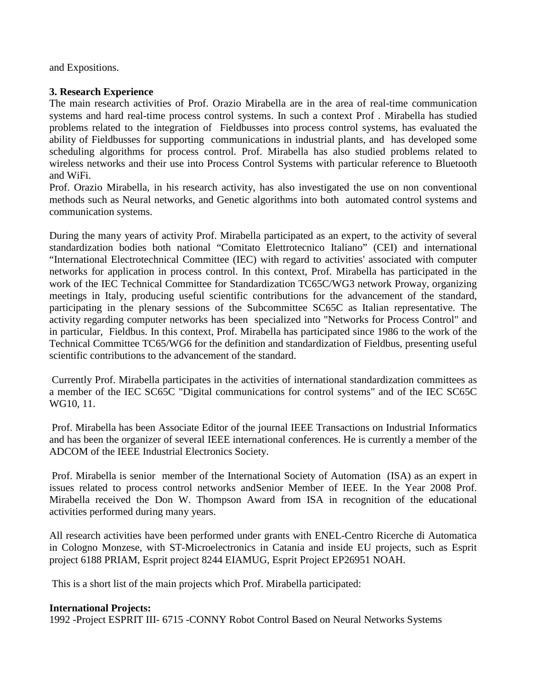and Expositions.

## **3. Research Experience**

The main research activities of Prof. Orazio Mirabella are in the area of real-time communication systems and hard real-time process control systems. In such a context Prof . Mirabella has studied problems related to the integration of Fieldbusses into process control systems, has evaluated the ability of Fieldbusses for supporting communications in industrial plants, and has developed some scheduling algorithms for process control. Prof. Mirabella has also studied problems related to wireless networks and their use into Process Control Systems with particular reference to Bluetooth and WiFi.

Prof. Orazio Mirabella, in his research activity, has also investigated the use on non conventional methods such as Neural networks, and Genetic algorithms into both automated control systems and communication systems.

During the many years of activity Prof. Mirabella participated as an expert, to the activity of several standardization bodies both national "Comitato Elettrotecnico Italiano" (CEI) and international "International Electrotechnical Committee (IEC) with regard to activities' associated with computer networks for application in process control. In this context, Prof. Mirabella has participated in the work of the IEC Technical Committee for Standardization TC65C/WG3 network Proway, organizing meetings in Italy, producing useful scientific contributions for the advancement of the standard, participating in the plenary sessions of the Subcommittee SC65C as Italian representative. The activity regarding computer networks has been specialized into "Networks for Process Control" and in particular, Fieldbus. In this context, Prof. Mirabella has participated since 1986 to the work of the Technical Committee TC65/WG6 for the definition and standardization of Fieldbus, presenting useful scientific contributions to the advancement of the standard.

Currently Prof. Mirabella participates in the activities of international standardization committees as a member of the IEC SC65C "Digital communications for control systems" and of the IEC SC65C WG10, 11.

Prof. Mirabella has been Associate Editor of the journal IEEE Transactions on Industrial Informatics and has been the organizer of several IEEE international conferences. He is currently a member of the ADCOM of the IEEE Industrial Electronics Society.

Prof. Mirabella is senior member of the International Society of Automation (ISA) as an expert in issues related to process control networks andSenior Member of IEEE. In the Year 2008 Prof. Mirabella received the Don W. Thompson Award from ISA in recognition of the educational activities performed during many years.

All research activities have been performed under grants with ENEL-Centro Ricerche di Automatica in Cologno Monzese, with ST-Microelectronics in Catania and inside EU projects, such as Esprit project 6188 PRIAM, Esprit project 8244 EIAMUG, Esprit Project EP26951 NOAH.

This is a short list of the main projects which Prof. Mirabella participated:

#### **International Projects:**

1992 -Project ESPRIT III- 6715 -CONNY Robot Control Based on Neural Networks Systems